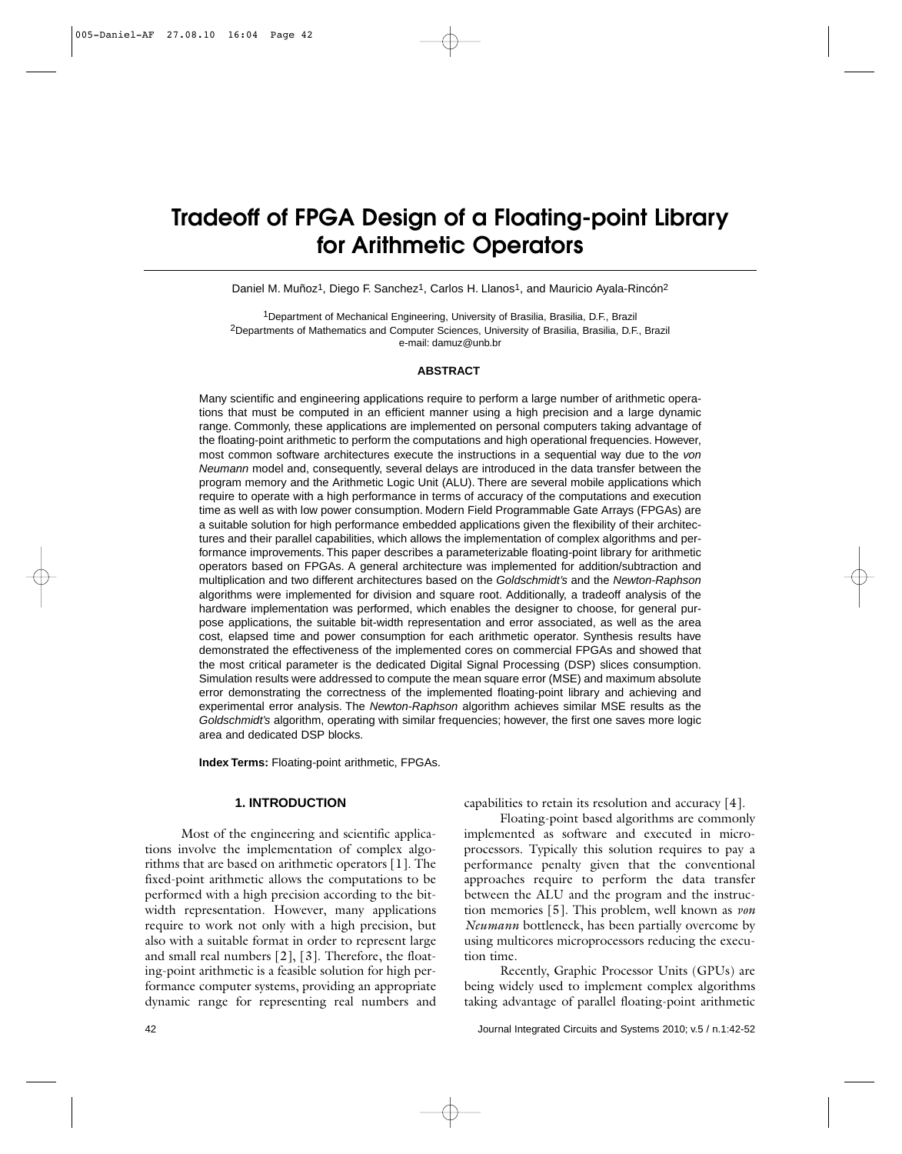# **Tradeoff of FPGA Design of a Floating-point Library for Arithmetic Operators**

Daniel M. Muñoz<sup>1</sup>, Diego F. Sanchez<sup>1</sup>, Carlos H. Llanos<sup>1</sup>, and Mauricio Ayala-Rincón<sup>2</sup>

1Department of Mechanical Engineering, University of Brasilia, Brasilia, D.F., Brazil 2Departments of Mathematics and Computer Sciences, University of Brasilia, Brasilia, D.F., Brazil e-mail: damuz@unb.br

#### **ABSTRACT**

Many scientific and engineering applications require to perform a large number of arithmetic operations that must be computed in an efficient manner using a high precision and a large dynamic range. Commonly, these applications are implemented on personal computers taking advantage of the floating-point arithmetic to perform the computations and high operational frequencies. However, most common software architectures execute the instructions in a sequential way due to the *von Neumann* model and, consequently, several delays are introduced in the data transfer between the program memory and the Arithmetic Logic Unit (ALU). There are several mobile applications which require to operate with a high performance in terms of accuracy of the computations and execution time as well as with low power consumption. Modern Field Programmable Gate Arrays (FPGAs) are a suitable solution for high performance embedded applications given the flexibility of their architectures and their parallel capabilities, which allows the implementation of complex algorithms and performance improvements. This paper describes a parameterizable floating-point library for arithmetic operators based on FPGAs. A general architecture was implemented for addition/subtraction and multiplication and two different architectures based on the *Goldschmidt's* and the *Newton-Raphson* algorithms were implemented for division and square root. Additionally, a tradeoff analysis of the hardware implementation was performed, which enables the designer to choose, for general purpose applications, the suitable bit-width representation and error associated, as well as the area cost, elapsed time and power consumption for each arithmetic operator. Synthesis results have demonstrated the effectiveness of the implemented cores on commercial FPGAs and showed that the most critical parameter is the dedicated Digital Signal Processing (DSP) slices consumption. Simulation results were addressed to compute the mean square error (MSE) and maximum absolute error demonstrating the correctness of the implemented floating-point library and achieving and experimental error analysis. The *Newton-Raphson* algorithm achieves similar MSE results as the *Goldschmidt's* algorithm, operating with similar frequencies; however, the first one saves more logic area and dedicated DSP blocks.

**Index Terms:** Floating-point arithmetic, FPGAs.

#### **1. INTRODUCTION**

Most of the engineering and scientific applications involve the implementation of complex algorithms that are based on arithmetic operators [1]. The fixed-point arithmetic allows the computations to be performed with a high precision according to the bitwidth representation. However, many applications require to work not only with a high precision, but also with a suitable format in order to represent large and small real numbers [2], [3]. Therefore, the floating-point arithmetic is a feasible solution for high performance computer systems, providing an appropriate dynamic range for representing real numbers and capabilities to retain its resolution and accuracy [4].

Floating-point based algorithms are commonly implemented as software and executed in microprocessors. Typically this solution requires to pay a performance penalty given that the conventional approaches require to perform the data transfer between the ALU and the program and the instruction memories [5]. This problem, well known as *von Neumann* bottleneck, has been partially overcome by using multicores microprocessors reducing the execution time.

Recently, Graphic Processor Units (GPUs) are being widely used to implement complex algorithms taking advantage of parallel floating-point arithmetic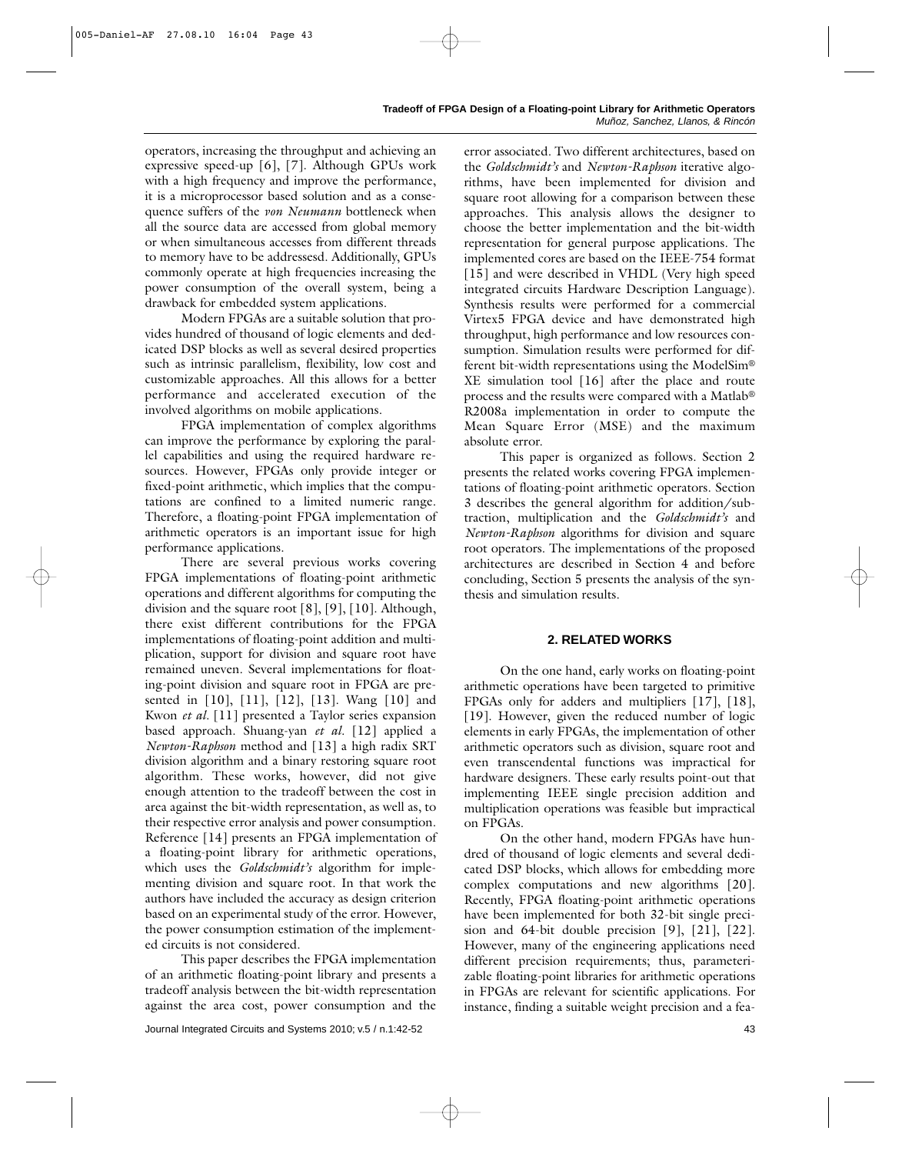operators, increasing the throughput and achieving an expressive speed-up [6], [7]. Although GPUs work with a high frequency and improve the performance, it is a microprocessor based solution and as a consequence suffers of the *von Neumann* bottleneck when all the source data are accessed from global memory or when simultaneous accesses from different threads to memory have to be addressesd. Additionally, GPUs commonly operate at high frequencies increasing the power consumption of the overall system, being a drawback for embedded system applications.

Modern FPGAs are a suitable solution that provides hundred of thousand of logic elements and dedicated DSP blocks as well as several desired properties such as intrinsic parallelism, flexibility, low cost and customizable approaches. All this allows for a better performance and accelerated execution of the involved algorithms on mobile applications.

FPGA implementation of complex algorithms can improve the performance by exploring the parallel capabilities and using the required hardware resources. However, FPGAs only provide integer or fixed-point arithmetic, which implies that the computations are confined to a limited numeric range. Therefore, a floating-point FPGA implementation of arithmetic operators is an important issue for high performance applications.

There are several previous works covering FPGA implementations of floating-point arithmetic operations and different algorithms for computing the division and the square root [8], [9], [10]. Although, there exist different contributions for the FPGA implementations of floating-point addition and multiplication, support for division and square root have remained uneven. Several implementations for floating-point division and square root in FPGA are presented in [10], [11], [12], [13]. Wang [10] and Kwon *et al.* [11] presented a Taylor series expansion based approach. Shuang-yan *et al.* [12] applied a *Newton-Raphson* method and [13] a high radix SRT division algorithm and a binary restoring square root algorithm. These works, however, did not give enough attention to the tradeoff between the cost in area against the bit-width representation, as well as, to their respective error analysis and power consumption. Reference [14] presents an FPGA implementation of a floating-point library for arithmetic operations, which uses the *Goldschmidt's* algorithm for implementing division and square root. In that work the authors have included the accuracy as design criterion based on an experimental study of the error. However, the power consumption estimation of the implemented circuits is not considered.

This paper describes the FPGA implementation of an arithmetic floating-point library and presents a tradeoff analysis between the bit-width representation against the area cost, power consumption and the error associated. Two different architectures, based on the *Goldschmidt's* and *Newton-Raphson* iterative algorithms, have been implemented for division and square root allowing for a comparison between these approaches. This analysis allows the designer to choose the better implementation and the bit-width representation for general purpose applications. The implemented cores are based on the IEEE-754 format [15] and were described in VHDL (Very high speed integrated circuits Hardware Description Language). Synthesis results were performed for a commercial Virtex5 FPGA device and have demonstrated high throughput, high performance and low resources consumption. Simulation results were performed for different bit-width representations using the ModelSim® XE simulation tool [16] after the place and route process and the results were compared with a Matlab® R2008a implementation in order to compute the Mean Square Error (MSE) and the maximum absolute error.

This paper is organized as follows. Section 2 presents the related works covering FPGA implementations of floating-point arithmetic operators. Section 3 describes the general algorithm for addition/subtraction, multiplication and the *Goldschmidt's* and *Newton-Raphson* algorithms for division and square root operators. The implementations of the proposed architectures are described in Section 4 and before concluding, Section 5 presents the analysis of the synthesis and simulation results.

# **2. RELATED WORKS**

On the one hand, early works on floating-point arithmetic operations have been targeted to primitive FPGAs only for adders and multipliers [17], [18], [19]. However, given the reduced number of logic elements in early FPGAs, the implementation of other arithmetic operators such as division, square root and even transcendental functions was impractical for hardware designers. These early results point-out that implementing IEEE single precision addition and multiplication operations was feasible but impractical on FPGAs.

On the other hand, modern FPGAs have hundred of thousand of logic elements and several dedicated DSP blocks, which allows for embedding more complex computations and new algorithms [20]. Recently, FPGA floating-point arithmetic operations have been implemented for both 32-bit single precision and 64-bit double precision [9], [21], [22]. However, many of the engineering applications need different precision requirements; thus, parameterizable floating-point libraries for arithmetic operations in FPGAs are relevant for scientific applications. For instance, finding a suitable weight precision and a fea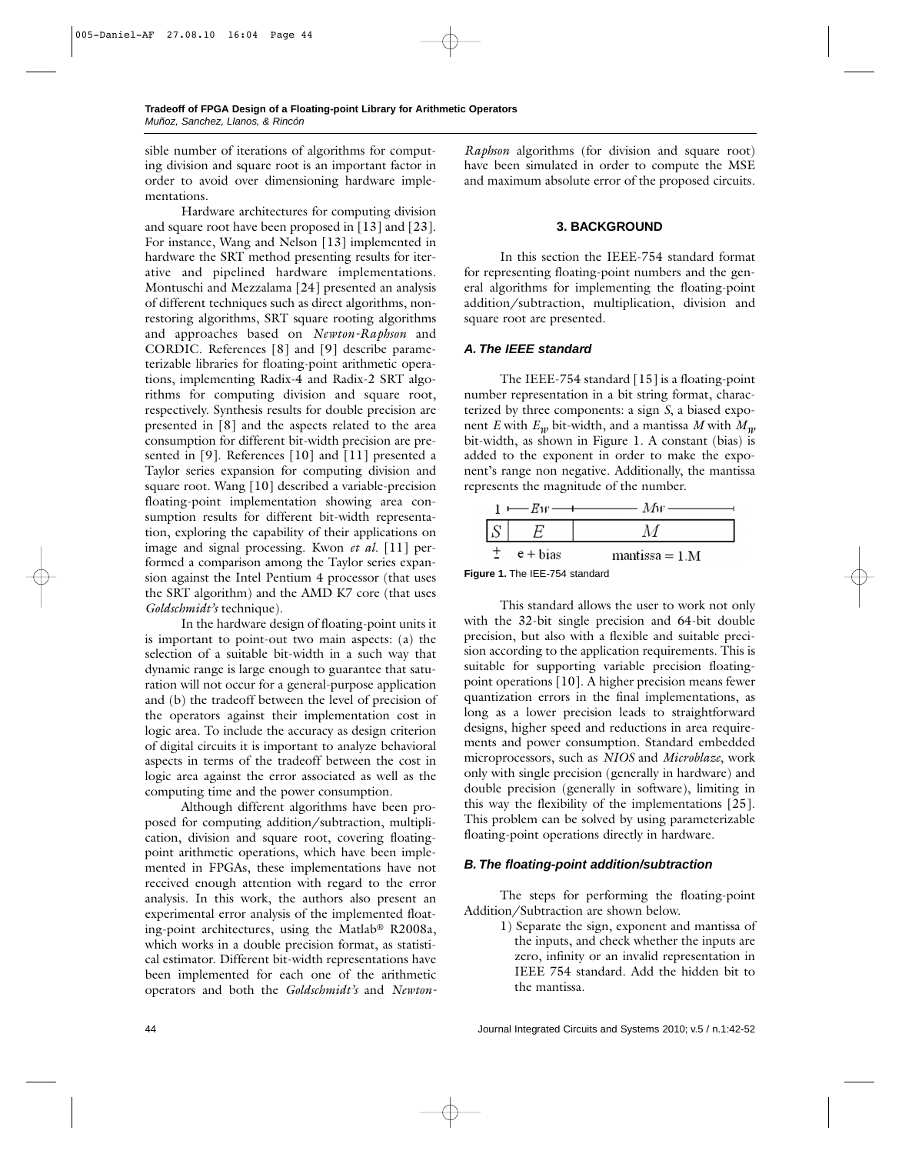sible number of iterations of algorithms for computing division and square root is an important factor in order to avoid over dimensioning hardware implementations.

Hardware architectures for computing division and square root have been proposed in [13] and [23]. For instance, Wang and Nelson [13] implemented in hardware the SRT method presenting results for iterative and pipelined hardware implementations. Montuschi and Mezzalama [24] presented an analysis of different techniques such as direct algorithms, nonrestoring algorithms, SRT square rooting algorithms and approaches based on *Newton-Raphson* and CORDIC. References [8] and [9] describe parameterizable libraries for floating-point arithmetic operations, implementing Radix-4 and Radix-2 SRT algorithms for computing division and square root, respectively. Synthesis results for double precision are presented in [8] and the aspects related to the area consumption for different bit-width precision are presented in [9]. References [10] and [11] presented a Taylor series expansion for computing division and square root. Wang [10] described a variable-precision floating-point implementation showing area consumption results for different bit-width representation, exploring the capability of their applications on image and signal processing. Kwon *et al.* [11] performed a comparison among the Taylor series expansion against the Intel Pentium 4 processor (that uses the SRT algorithm) and the AMD K7 core (that uses *Goldschmidt's* technique).

In the hardware design of floating-point units it is important to point-out two main aspects: (a) the selection of a suitable bit-width in a such way that dynamic range is large enough to guarantee that saturation will not occur for a general-purpose application and (b) the tradeoff between the level of precision of the operators against their implementation cost in logic area. To include the accuracy as design criterion of digital circuits it is important to analyze behavioral aspects in terms of the tradeoff between the cost in logic area against the error associated as well as the computing time and the power consumption.

Although different algorithms have been proposed for computing addition/subtraction, multiplication, division and square root, covering floatingpoint arithmetic operations, which have been implemented in FPGAs, these implementations have not received enough attention with regard to the error analysis. In this work, the authors also present an experimental error analysis of the implemented floating-point architectures, using the Matlab® R2008a, which works in a double precision format, as statistical estimator. Different bit-width representations have been implemented for each one of the arithmetic operators and both the *Goldschmidt's* and *Newton-* *Raphson* algorithms (for division and square root) have been simulated in order to compute the MSE and maximum absolute error of the proposed circuits.

# **3. BACKGROUND**

In this section the IEEE-754 standard format for representing floating-point numbers and the general algorithms for implementing the floating-point addition/subtraction, multiplication, division and square root are presented.

# *A. The IEEE standard*

The IEEE-754 standard [15] is a floating-point number representation in a bit string format, characterized by three components: a sign *S*, a biased exponent *E* with  $E_w$  bit-width, and a mantissa *M* with  $M_w$ bit-width, as shown in Figure 1. A constant (bias) is added to the exponent in order to make the exponent's range non negative. Additionally, the mantissa represents the magnitude of the number.

|                                | $1 \longleftarrow Ew \longrightarrow Mw$ |
|--------------------------------|------------------------------------------|
|                                |                                          |
| $\pm$ e + bias                 | $mantissa = 1.M$                         |
| $ \sim 4$ The IFF 754 steederd |                                          |

**Figure 1.** The IEE-754 standard

This standard allows the user to work not only with the 32-bit single precision and 64-bit double precision, but also with a flexible and suitable precision according to the application requirements. This is suitable for supporting variable precision floatingpoint operations [10]. A higher precision means fewer quantization errors in the final implementations, as long as a lower precision leads to straightforward designs, higher speed and reductions in area requirements and power consumption. Standard embedded microprocessors, such as *NIOS* and *Microblaze*, work only with single precision (generally in hardware) and double precision (generally in software), limiting in this way the flexibility of the implementations [25]. This problem can be solved by using parameterizable floating-point operations directly in hardware.

# *B. The floating-point addition/subtraction*

The steps for performing the floating-point Addition/Subtraction are shown below.

> 1) Separate the sign, exponent and mantissa of the inputs, and check whether the inputs are zero, infinity or an invalid representation in IEEE 754 standard. Add the hidden bit to the mantissa.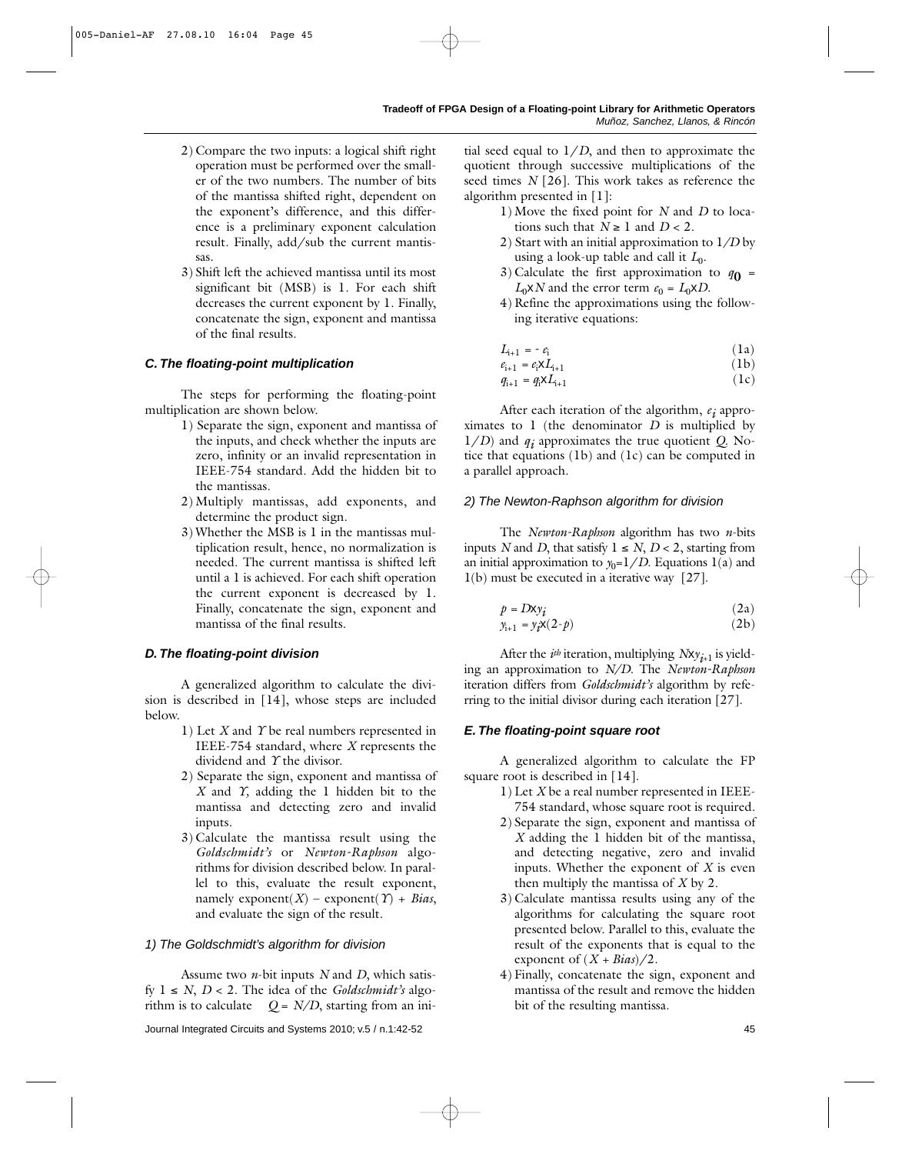- 2) Compare the two inputs: a logical shift right operation must be performed over the smaller of the two numbers. The number of bits of the mantissa shifted right, dependent on the exponent's difference, and this difference is a preliminary exponent calculation result. Finally, add/sub the current mantissas.
- 3) Shift left the achieved mantissa until its most significant bit (MSB) is 1*.* For each shift decreases the current exponent by 1. Finally, concatenate the sign, exponent and mantissa of the final results.

# *C. The floating-point multiplication*

The steps for performing the floating-point multiplication are shown below.

- 1) Separate the sign, exponent and mantissa of the inputs, and check whether the inputs are zero, infinity or an invalid representation in IEEE-754 standard. Add the hidden bit to the mantissas.
- 2) Multiply mantissas, add exponents, and determine the product sign.
- 3) Whether the MSB is 1 in the mantissas multiplication result, hence, no normalization is needed. The current mantissa is shifted left until a 1 is achieved. For each shift operation the current exponent is decreased by 1. Finally, concatenate the sign, exponent and mantissa of the final results.

# *D. The floating-point division*

A generalized algorithm to calculate the division is described in [14], whose steps are included below.

- 1) Let *X* and *Y* be real numbers represented in IEEE-754 standard, where *X* represents the dividend and *Y* the divisor.
- 2) Separate the sign, exponent and mantissa of *X* and *Y,* adding the 1 hidden bit to the mantissa and detecting zero and invalid inputs.
- 3) Calculate the mantissa result using the *Goldschmidt's* or *Newton-Raphson* algorithms for division described below. In parallel to this, evaluate the result exponent, namely  $exponent(X)$  –  $exponent(\Upsilon)$  + *Bias*, and evaluate the sign of the result.

# *1) The Goldschmidt's algorithm for division*

Assume two *n*-bit inputs *N* and *D*, which satisfy 1 ≤ *N*, *D* < 2. The idea of the *Goldschmidt's* algorithm is to calculate  $Q = N/D$ , starting from an initial seed equal to  $1/D$ , and then to approximate the quotient through successive multiplications of the seed times *N* [26]. This work takes as reference the algorithm presented in [1]:

- 1) Move the fixed point for *N* and *D* to locations such that  $N \geq 1$  and  $D < 2$ .
- 2) Start with an initial approximation to 1*/D* by using a look-up table and call it  $L_0$ .
- 3) Calculate the first approximation to  $q_0$  =  $L_0 \times N$  and the error term  $e_0 = L_0 \times D$ .
- 4) Refine the approximations using the following iterative equations:

$$
L_{i+1} = -e_i \tag{1a}
$$

$$
e_{i+1} = e_i \mathbf{X} L_{i+1} \tag{1b}
$$

$$
q_{i+1} = q_i \mathbf{X} L_{i+1} \tag{1c}
$$

After each iteration of the algorithm, *ei* approximates to 1 (the denominator *D* is multiplied by 1/*D*) and *qi* approximates the true quotient *Q*. Notice that equations (1b) and (1c) can be computed in a parallel approach.

## *2) The Newton-Raphson algorithm for division*

The *Newton-Raphson* algorithm has two *n*-bits inputs *N* and *D*, that satisfy  $1 \leq N$ ,  $D < 2$ , starting from an initial approximation to  $y_0=1/D$ . Equations 1(a) and 1(b) must be executed in a iterative way [27].

$$
p = Dxy_i \tag{2a}
$$

$$
y_{i+1} = y_i \mathbf{X} (2-p) \tag{2b}
$$

After the  $i^{th}$  iteration, multiplying  $Nxy_{i+1}$  is yielding an approximation to *N/D*. The *Newton-Raphson* iteration differs from *Goldschmidt's* algorithm by referring to the initial divisor during each iteration [27].

# *E. The floating-point square root*

A generalized algorithm to calculate the FP square root is described in [14].

- 1) Let *X* be a real number represented in IEEE-754 standard, whose square root is required.
- 2) Separate the sign, exponent and mantissa of *X* adding the 1 hidden bit of the mantissa, and detecting negative, zero and invalid inputs. Whether the exponent of *X* is even then multiply the mantissa of *X* by 2.
- 3) Calculate mantissa results using any of the algorithms for calculating the square root presented below. Parallel to this, evaluate the result of the exponents that is equal to the exponent of  $(X + Bias)/2$ .
- 4) Finally, concatenate the sign, exponent and mantissa of the result and remove the hidden bit of the resulting mantissa.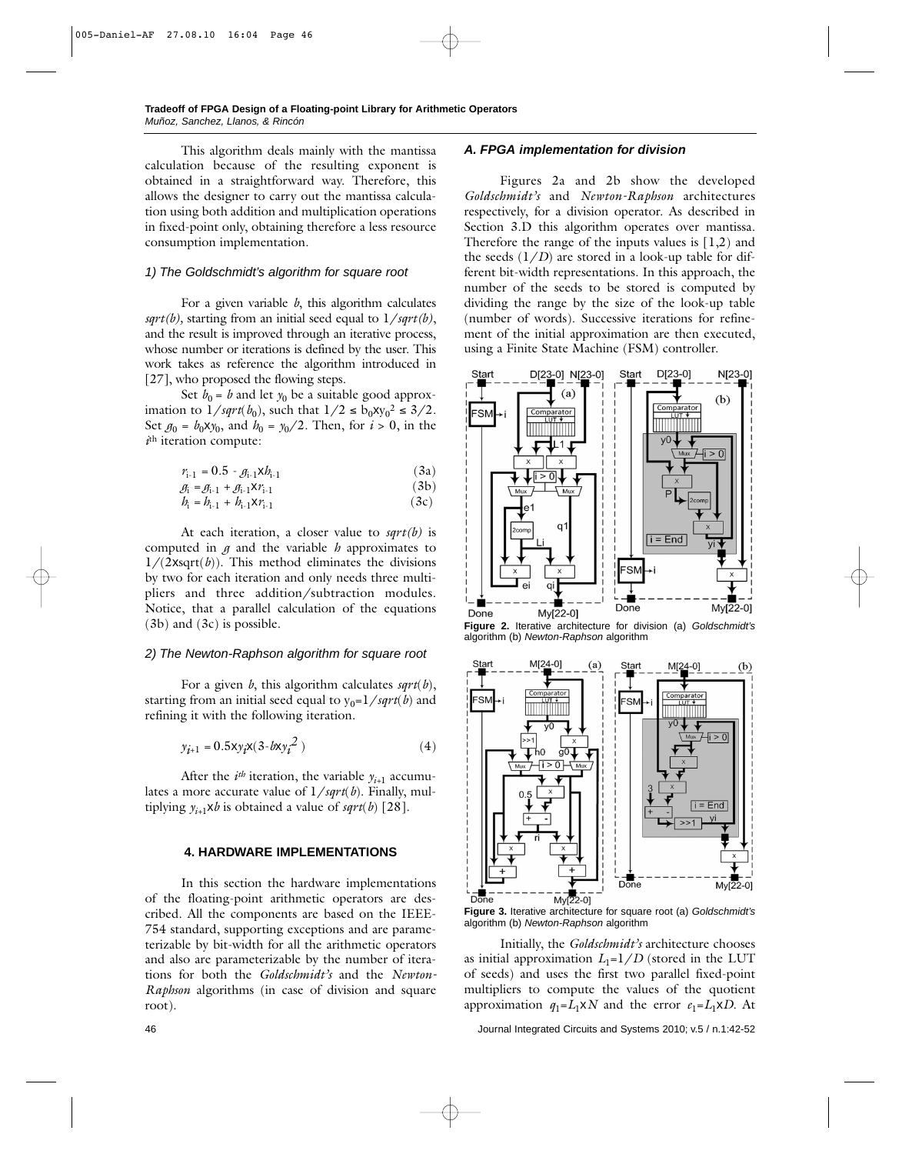This algorithm deals mainly with the mantissa calculation because of the resulting exponent is obtained in a straightforward way. Therefore, this allows the designer to carry out the mantissa calculation using both addition and multiplication operations in fixed-point only, obtaining therefore a less resource consumption implementation.

#### *1) The Goldschmidt's algorithm for square root*

For a given variable *b*, this algorithm calculates *sqrt(b),* starting from an initial seed equal to 1/*sqrt(b)*, and the result is improved through an iterative process, whose number or iterations is defined by the user. This work takes as reference the algorithm introduced in [27], who proposed the flowing steps.

Set  $b_0 = b$  and let  $y_0$  be a suitable good approximation to  $1/sqrt(b_0)$ , such that  $1/2 \le b_0xy_0^2 \le 3/2$ . Set  $g_0 = b_0 x y_0$ , and  $b_0 = y_0/2$ . Then, for  $i > 0$ , in the *i*th iteration compute:

$$
r_{i-1} = 0.5 - g_{i-1} \times b_{i-1}
$$
 (3a)

$$
\mathcal{G}_i = \mathcal{G}_{i-1} + \mathcal{G}_{i-1} X r_{i-1} \tag{3b}
$$

$$
b_{i} = b_{i-1} + b_{i-1} \mathbf{X} r_{i-1} \tag{3c}
$$

At each iteration, a closer value to *sqrt(b)* is computed in  $\beta$  and the variable  $h$  approximates to  $1/(2xsqrt(b))$ . This method eliminates the divisions by two for each iteration and only needs three multipliers and three addition/subtraction modules. Notice, that a parallel calculation of the equations (3b) and (3c) is possible.

# *2) The Newton-Raphson algorithm for square root*

For a given *b*, this algorithm calculates *sqrt*(*b*), starting from an initial seed equal to  $y_0=1/sqrt(b)$  and refining it with the following iteration.

$$
y_{i+1} = 0.5xy_i x (3-bxy_i^2)
$$
 (4)

After the  $i^{th}$  iteration, the variable  $y_{i+1}$  accumulates a more accurate value of 1/*sqrt*(*b*). Finally, multiplying  $y_{i+1}$ **x***b* is obtained a value of *sqrt*(*b*) [28].

#### **4. HARDWARE IMPLEMENTATIONS**

In this section the hardware implementations of the floating-point arithmetic operators are described. All the components are based on the IEEE-754 standard, supporting exceptions and are parameterizable by bit-width for all the arithmetic operators and also are parameterizable by the number of iterations for both the *Goldschmidt's* and the *Newton-Raphson* algorithms (in case of division and square root).

### *A. FPGA implementation for division*

Figures 2a and 2b show the developed *Goldschmidt's* and *Newton-Raphson* architectures respectively, for a division operator. As described in Section 3.D this algorithm operates over mantissa. Therefore the range of the inputs values is  $(1,2)$  and the seeds  $(1/D)$  are stored in a look-up table for different bit-width representations. In this approach, the number of the seeds to be stored is computed by dividing the range by the size of the look-up table (number of words). Successive iterations for refinement of the initial approximation are then executed, using a Finite State Machine (FSM) controller.



**Figure 2.** Iterative architecture for division (a) *Goldschmidt's* algorithm (b) *Newton-Raphson* algorithm



**Figure 3.** Iterative architecture for square root (a) *Goldschmidt's* algorithm (b) *Newton-Raphson* algorithm

Initially, the *Goldschmidt's* architecture chooses as initial approximation  $L_1=1/D$  (stored in the LUT of seeds) and uses the first two parallel fixed-point multipliers to compute the values of the quotient approximation  $q_1 = L_1 \times N$  and the error  $e_1 = L_1 \times D$ . At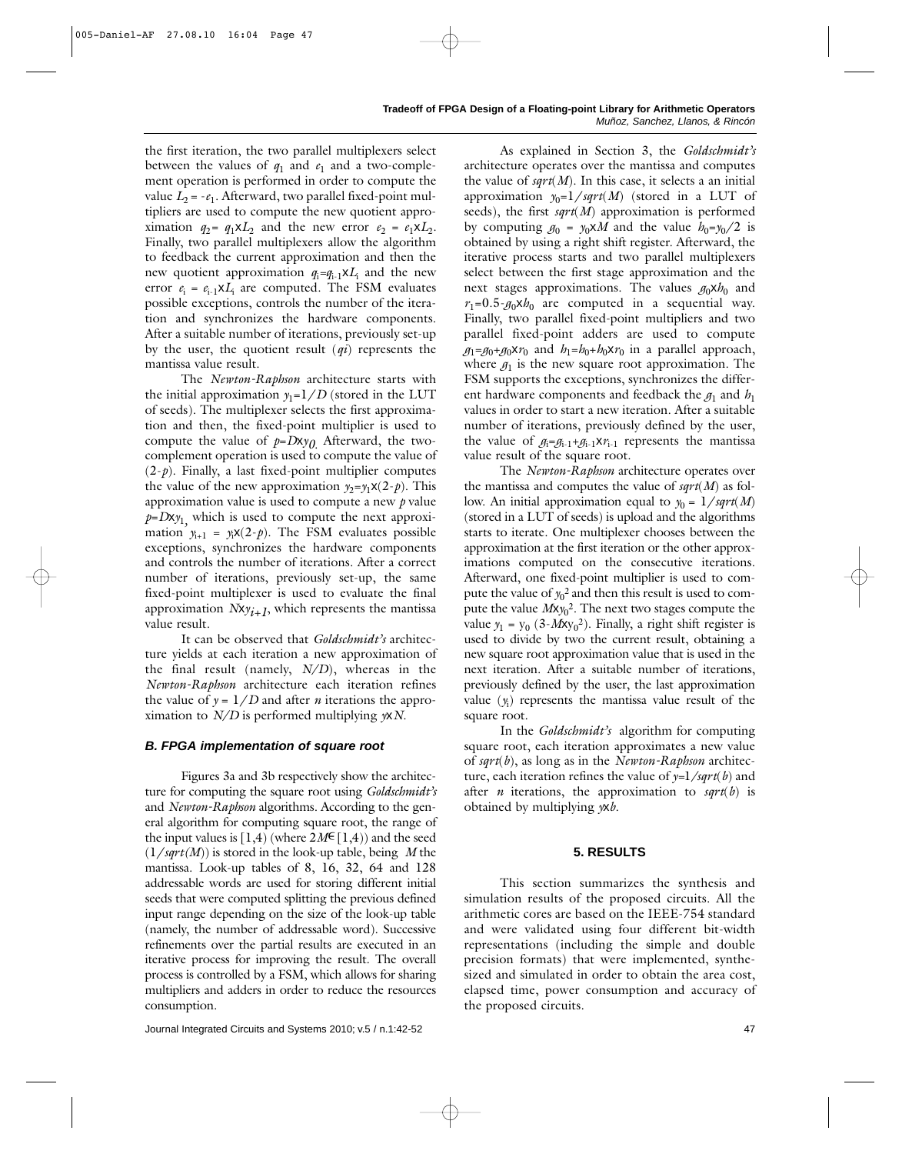the first iteration, the two parallel multiplexers select between the values of  $q_1$  and  $e_1$  and a two-complement operation is performed in order to compute the value  $L_2 = -e_1$ . Afterward, two parallel fixed-point multipliers are used to compute the new quotient approximation  $q_2 = q_1 \times L_2$  and the new error  $e_2 = e_1 \times L_2$ . Finally, two parallel multiplexers allow the algorithm to feedback the current approximation and then the new quotient approximation *q*<sup>i</sup> *=q*i-1x*L*<sup>i</sup> and the new error  $e_i = e_{i-1} \times L_i$  are computed. The FSM evaluates possible exceptions, controls the number of the iteration and synchronizes the hardware components. After a suitable number of iterations, previously set-up by the user, the quotient result (*qi*) represents the mantissa value result.

The *Newton-Raphson* architecture starts with the initial approximation  $y_1=1/D$  (stored in the LUT of seeds). The multiplexer selects the first approximation and then, the fixed-point multiplier is used to compute the value of  $p = Dxy_0$ . Afterward, the twocomplement operation is used to compute the value of  $(2-p)$ . Finally, a last fixed-point multiplier computes the value of the new approximation  $y_2 = y_1x(2-p)$ . This approximation value is used to compute a new *p* value  $p = Dx y_1$  which is used to compute the next approximation  $y_{i+1} = y_i \mathbf{x}(2-p)$ . The FSM evaluates possible exceptions, synchronizes the hardware components and controls the number of iterations. After a correct number of iterations, previously set-up, the same fixed-point multiplexer is used to evaluate the final approximation  $Nxy_{i+1}$ , which represents the mantissa value result.

It can be observed that *Goldschmidt's* architecture yields at each iteration a new approximation of the final result (namely, *N/D*), whereas in the *Newton-Raphson* architecture each iteration refines the value of  $y = 1/D$  and after *n* iterations the approximation to *N/D* is performed multiplying *y*x*N*.

# *B. FPGA implementation of square root*

Figures 3a and 3b respectively show the architecture for computing the square root using *Goldschmidt's* and *Newton-Raphson* algorithms. According to the general algorithm for computing square root, the range of the input values is  $[1,4)$  (where  $2M \in [1,4)$ ) and the seed (1/*sqrt(M*)) is stored in the look-up table, being *M* the mantissa. Look-up tables of 8, 16, 32, 64 and 128 addressable words are used for storing different initial seeds that were computed splitting the previous defined input range depending on the size of the look-up table (namely, the number of addressable word). Successive refinements over the partial results are executed in an iterative process for improving the result. The overall process is controlled by a FSM, which allows for sharing multipliers and adders in order to reduce the resources consumption.

As explained in Section 3, the *Goldschmidt's* architecture operates over the mantissa and computes the value of *sqrt*(*M*). In this case, it selects a an initial approximation  $y_0=1/sqrt(M)$  (stored in a LUT of seeds), the first *sqrt*(*M*) approximation is performed by computing  $g_0 = y_0 \times M$  and the value  $h_0 = y_0/2$  is obtained by using a right shift register. Afterward, the iterative process starts and two parallel multiplexers select between the first stage approximation and the next stages approximations. The values  $q_0xh_0$  and  $r_1=0.5-g_0xh_0$  are computed in a sequential way. Finally, two parallel fixed-point multipliers and two parallel fixed-point adders are used to compute  $g_1 = g_0 + g_0xr_0$  and  $h_1 = h_0 + h_0xr_0$  in a parallel approach, where  $g_1$  is the new square root approximation. The FSM supports the exceptions, synchronizes the different hardware components and feedback the  $g_1$  and  $h_1$ values in order to start a new iteration. After a suitable number of iterations, previously defined by the user, the value of  $g_i = g_{i-1} + g_{i-1}xr_{i-1}$  represents the mantissa value result of the square root.

The *Newton-Raphson* architecture operates over the mantissa and computes the value of *sqrt*(*M*) as follow. An initial approximation equal to  $y_0 = 1/sqrt(M)$ (stored in a LUT of seeds) is upload and the algorithms starts to iterate. One multiplexer chooses between the approximation at the first iteration or the other approximations computed on the consecutive iterations. Afterward, one fixed-point multiplier is used to compute the value of  $y_0^2$  and then this result is used to compute the value *M*x*y*<sup>0</sup> 2. The next two stages compute the value  $y_1 = y_0 (3 - Mxy_0^2)$ . Finally, a right shift register is used to divide by two the current result, obtaining a new square root approximation value that is used in the next iteration. After a suitable number of iterations, previously defined by the user, the last approximation value (*y*<sup>i</sup> ) represents the mantissa value result of the square root.

In the *Goldschmidt's* algorithm for computing square root, each iteration approximates a new value of *sqrt*(*b*), as long as in the *Newton-Raphson* architecture, each iteration refines the value of *y=*1*/sqrt*(*b*) and after *n* iterations, the approximation to *sqrt*(*b*) is obtained by multiplying *y*x*b*.

# **5. RESULTS**

This section summarizes the synthesis and simulation results of the proposed circuits. All the arithmetic cores are based on the IEEE-754 standard and were validated using four different bit-width representations (including the simple and double precision formats) that were implemented, synthesized and simulated in order to obtain the area cost, elapsed time, power consumption and accuracy of the proposed circuits.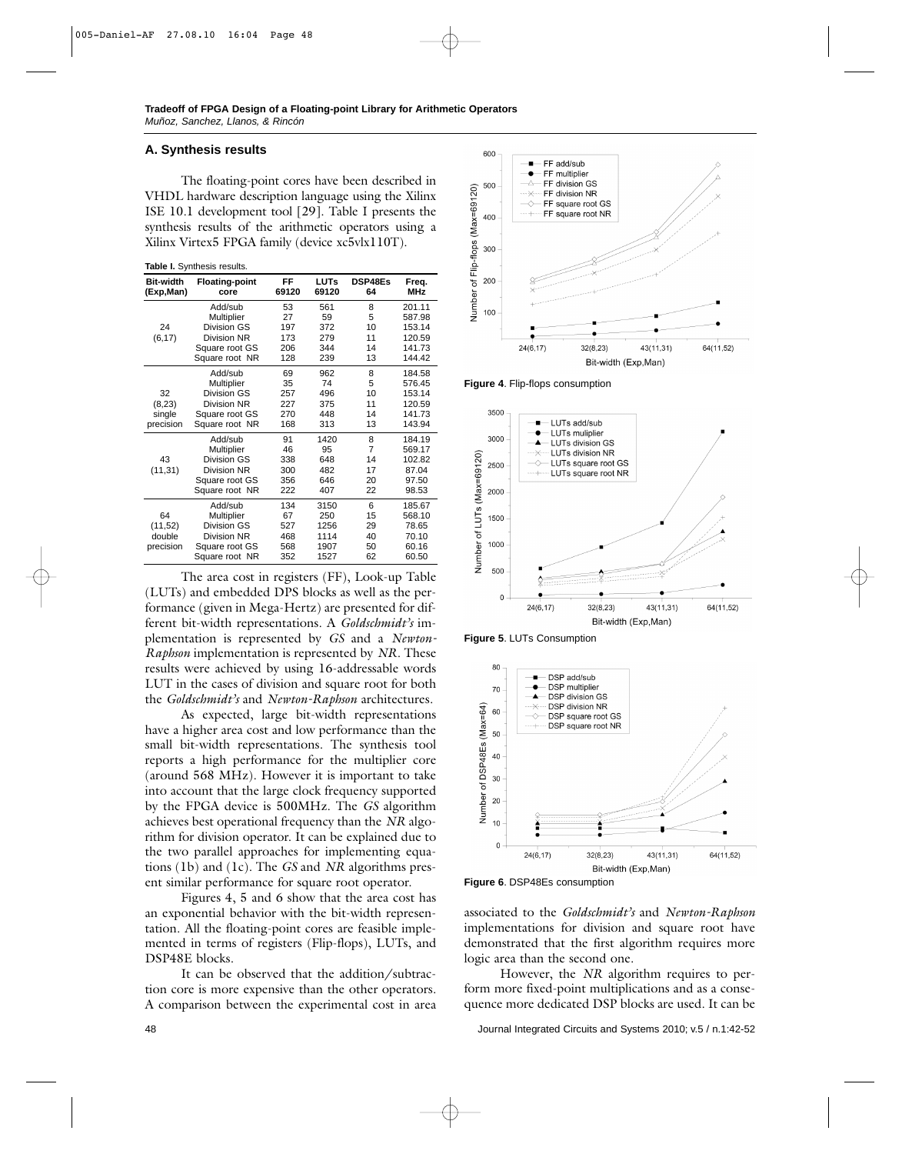## **A. Synthesis results**

The floating-point cores have been described in VHDL hardware description language using the Xilinx ISE 10.1 development tool [29]. Table I presents the synthesis results of the arithmetic operators using a Xilinx Virtex5 FPGA family (device xc5vlx110T).

**Table I.** Synthesis results.

| <b>Bit-width</b><br>(Exp,Man) | <b>Floating-point</b><br>core | FF<br>69120 | <b>LUTs</b><br>69120 | DSP48Es<br>64  | Freq.<br><b>MHz</b> |
|-------------------------------|-------------------------------|-------------|----------------------|----------------|---------------------|
|                               | Add/sub                       | 53          | 561                  | 8              | 201.11              |
|                               | Multiplier                    | 27          | 59                   | 5              | 587.98              |
| 24                            | Division GS                   | 197         | 372                  | 10             | 153.14              |
| (6, 17)                       | Division NR                   | 173         | 279                  | 11             | 120.59              |
|                               | Square root GS                | 206         | 344                  | 14             | 141.73              |
|                               | Square root NR                | 128         | 239                  | 13             | 144.42              |
|                               | Add/sub                       | 69          | 962                  | 8              | 184.58              |
|                               | Multiplier                    | 35          | 74                   | 5              | 576.45              |
| 32                            | Division GS                   | 257         | 496                  | 10             | 153.14              |
| (8, 23)                       | Division NR                   | 227         | 375                  | 11             | 120.59              |
| single                        | Square root GS                | 270         | 448                  | 14             | 141.73              |
| precision                     | Square root NR                | 168         | 313                  | 13             | 143.94              |
|                               | Add/sub                       | 91          | 1420                 | 8              | 184.19              |
|                               | Multiplier                    | 46          | 95                   | $\overline{7}$ | 569.17              |
| 43                            | Division GS                   | 338         | 648                  | 14             | 102.82              |
| (11, 31)                      | <b>Division NR</b>            | 300         | 482                  | 17             | 87.04               |
|                               | Square root GS                | 356         | 646                  | 20             | 97.50               |
|                               | Square root NR                | 222         | 407                  | 22             | 98.53               |
|                               | Add/sub                       | 134         | 3150                 | 6              | 185.67              |
| 64                            | Multiplier                    | 67          | 250                  | 15             | 568.10              |
| (11,52)                       | Division GS                   | 527         | 1256                 | 29             | 78.65               |
| double                        | <b>Division NR</b>            | 468         | 1114                 | 40             | 70.10               |
| precision                     | Square root GS                | 568         | 1907                 | 50             | 60.16               |
|                               | Square root NR                | 352         | 1527                 | 62             | 60.50               |

The area cost in registers (FF), Look-up Table (LUTs) and embedded DPS blocks as well as the performance (given in Mega-Hertz) are presented for different bit-width representations. A *Goldschmidt's* implementation is represented by *GS* and a *Newton-Raphson* implementation is represented by *NR*. These results were achieved by using 16-addressable words LUT in the cases of division and square root for both the *Goldschmidt's* and *Newton-Raphson* architectures.

As expected, large bit-width representations have a higher area cost and low performance than the small bit-width representations. The synthesis tool reports a high performance for the multiplier core (around 568 MHz). However it is important to take into account that the large clock frequency supported by the FPGA device is 500MHz. The *GS* algorithm achieves best operational frequency than the *NR* algorithm for division operator. It can be explained due to the two parallel approaches for implementing equations (1b) and (1c). The *GS* and *NR* algorithms present similar performance for square root operator.

Figures 4, 5 and 6 show that the area cost has an exponential behavior with the bit-width representation. All the floating-point cores are feasible implemented in terms of registers (Flip-flops), LUTs, and DSP48E blocks.

It can be observed that the addition/subtraction core is more expensive than the other operators. A comparison between the experimental cost in area



**Figure 4**. Flip-flops consumption



**Figure 5**. LUTs Consumption



**Figure 6**. DSP48Es consumption

associated to the *Goldschmidt's* and *Newton-Raphson* implementations for division and square root have demonstrated that the first algorithm requires more logic area than the second one.

However, the *NR* algorithm requires to perform more fixed-point multiplications and as a consequence more dedicated DSP blocks are used. It can be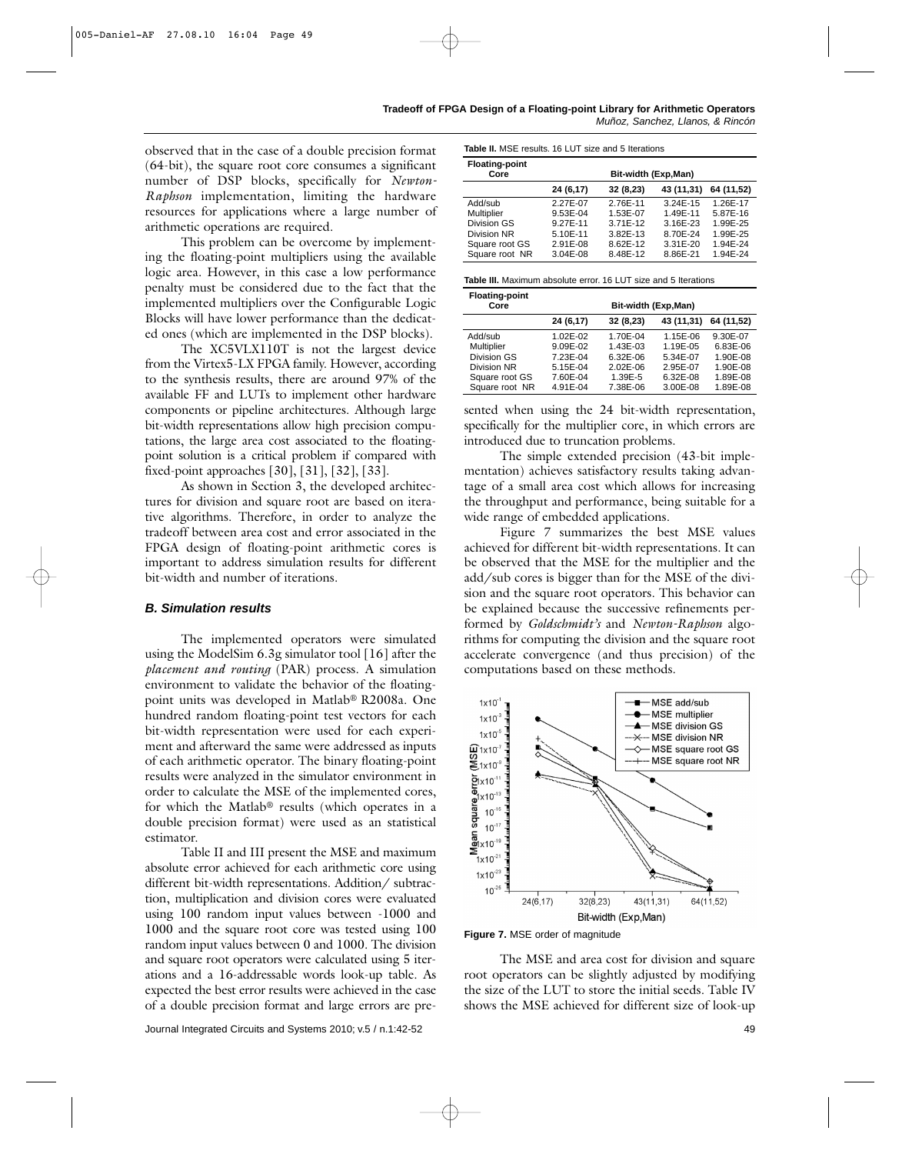observed that in the case of a double precision format (64-bit), the square root core consumes a significant number of DSP blocks, specifically for *Newton-Raphson* implementation, limiting the hardware resources for applications where a large number of arithmetic operations are required.

This problem can be overcome by implementing the floating-point multipliers using the available logic area. However, in this case a low performance penalty must be considered due to the fact that the implemented multipliers over the Configurable Logic Blocks will have lower performance than the dedicated ones (which are implemented in the DSP blocks).

The XC5VLX110T is not the largest device from the Virtex5-LX FPGA family. However, according to the synthesis results, there are around 97% of the available FF and LUTs to implement other hardware components or pipeline architectures. Although large bit-width representations allow high precision computations, the large area cost associated to the floatingpoint solution is a critical problem if compared with fixed-point approaches [30], [31], [32], [33].

As shown in Section 3, the developed architectures for division and square root are based on iterative algorithms. Therefore, in order to analyze the tradeoff between area cost and error associated in the FPGA design of floating-point arithmetic cores is important to address simulation results for different bit-width and number of iterations.

#### *B. Simulation results*

The implemented operators were simulated using the ModelSim 6.3g simulator tool [16] after the *placement and routing* (PAR) process. A simulation environment to validate the behavior of the floatingpoint units was developed in Matlab® R2008a. One hundred random floating-point test vectors for each bit-width representation were used for each experiment and afterward the same were addressed as inputs of each arithmetic operator. The binary floating-point results were analyzed in the simulator environment in order to calculate the MSE of the implemented cores, for which the Matlab® results (which operates in a double precision format) were used as an statistical estimator.

Table II and III present the MSE and maximum absolute error achieved for each arithmetic core using different bit-width representations. Addition/ subtraction, multiplication and division cores were evaluated using 100 random input values between -1000 and 1000 and the square root core was tested using 100 random input values between 0 and 1000. The division and square root operators were calculated using 5 iterations and a 16-addressable words look-up table. As expected the best error results were achieved in the case of a double precision format and large errors are pre-

| <b>Table II.</b> MSE results, 16 LUT size and 5 Iterations |
|------------------------------------------------------------|
|------------------------------------------------------------|

| <b>Floating-point</b><br>Core | Bit-width (Exp, Man) |           |              |            |  |  |
|-------------------------------|----------------------|-----------|--------------|------------|--|--|
|                               | 24 (6,17)            | 32 (8,23) | 43 (11,31)   | 64 (11,52) |  |  |
| Add/sub                       | 2.27E-07             | 2.76E-11  | $3.24E - 15$ | 1.26E-17   |  |  |
| Multiplier                    | 9.53E-04             | 1.53E-07  | 1.49E-11     | 5.87E-16   |  |  |
| <b>Division GS</b>            | 9.27E-11             | 3.71E-12  | 3.16E-23     | 1.99E-25   |  |  |
| Division NR                   | 5.10E-11             | 3.82E-13  | 8.70E-24     | 1.99E-25   |  |  |
| Square root GS                | 2.91E-08             | 8.62E-12  | 3.31E-20     | 1.94E-24   |  |  |
| Square root NR                | 3.04E-08             | 8.48E-12  | 8.86E-21     | 1.94E-24   |  |  |

| <b>Floating-point</b><br>Core | Bit-width (Exp, Man) |              |            |            |  |  |
|-------------------------------|----------------------|--------------|------------|------------|--|--|
|                               | 24 (6,17)            | 32 (8,23)    | 43 (11,31) | 64 (11,52) |  |  |
| Add/sub                       | 1.02E-02             | 1.70E-04     | 1.15E-06   | 9.30E-07   |  |  |
| Multiplier                    | 9.09E-02             | 1.43E-03     | 1.19E-05   | 6.83E-06   |  |  |
| Division GS                   | 7.23E-04             | 6.32E-06     | 5.34E-07   | 1.90E-08   |  |  |
| Division NR                   | 5.15E-04             | $2.02E - 06$ | 2.95E-07   | 1.90E-08   |  |  |
| Square root GS                | 7.60E-04             | 1.39E-5      | 6.32E-08   | 1.89E-08   |  |  |
| Square root NR                | 4.91E-04             | 7.38E-06     | 3.00E-08   | 1.89E-08   |  |  |

sented when using the 24 bit-width representation, specifically for the multiplier core, in which errors are introduced due to truncation problems.

The simple extended precision (43-bit implementation) achieves satisfactory results taking advantage of a small area cost which allows for increasing the throughput and performance, being suitable for a wide range of embedded applications.

Figure 7 summarizes the best MSE values achieved for different bit-width representations. It can be observed that the MSE for the multiplier and the add/sub cores is bigger than for the MSE of the division and the square root operators. This behavior can be explained because the successive refinements performed by *Goldschmidt's* and *Newton-Raphson* algorithms for computing the division and the square root accelerate convergence (and thus precision) of the computations based on these methods.



**Figure 7.** MSE order of magnitude

The MSE and area cost for division and square root operators can be slightly adjusted by modifying the size of the LUT to store the initial seeds. Table IV shows the MSE achieved for different size of look-up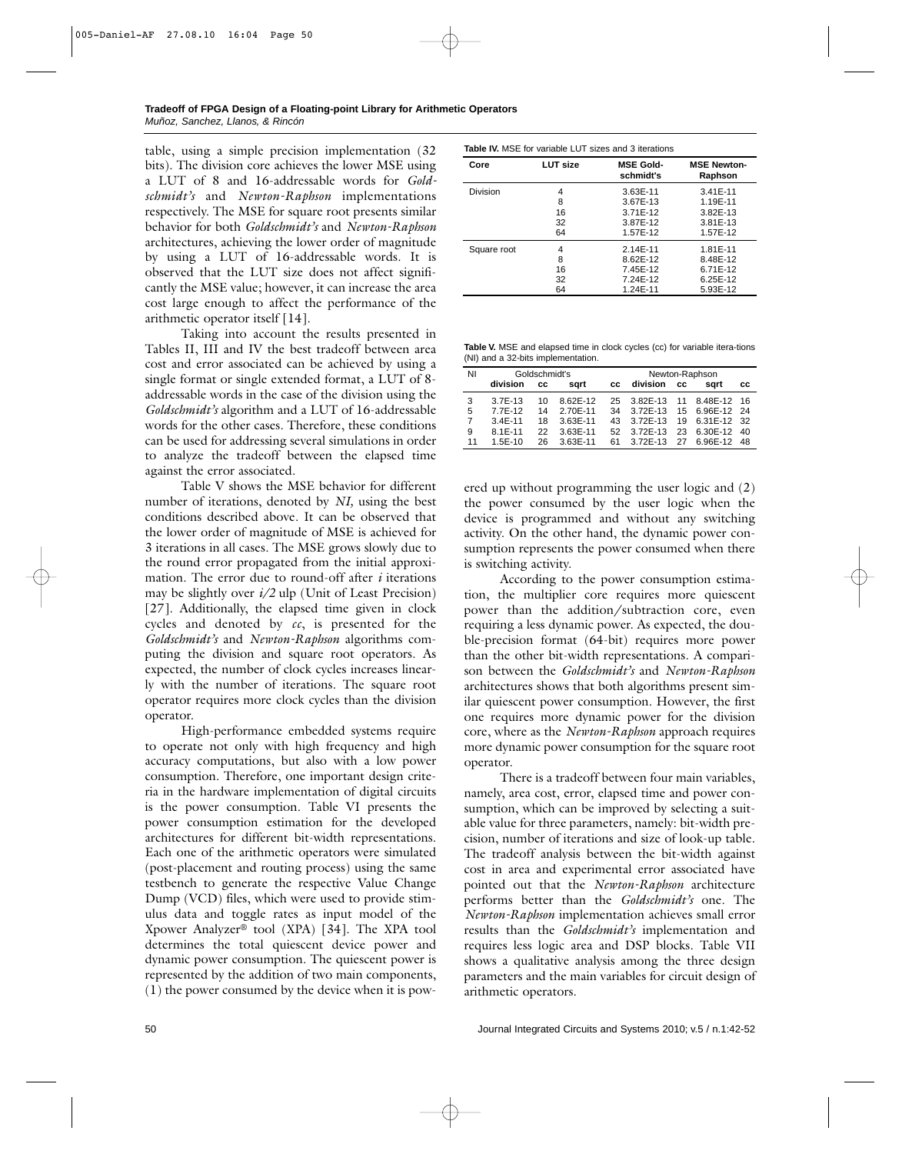table, using a simple precision implementation (32 bits). The division core achieves the lower MSE using a LUT of 8 and 16-addressable words for *Goldschmidt's* and *Newton-Raphson* implementations respectively. The MSE for square root presents similar behavior for both *Goldschmidt's* and *Newton-Raphson* architectures, achieving the lower order of magnitude by using a LUT of 16-addressable words. It is observed that the LUT size does not affect significantly the MSE value; however, it can increase the area cost large enough to affect the performance of the arithmetic operator itself [14].

Taking into account the results presented in Tables II, III and IV the best tradeoff between area cost and error associated can be achieved by using a single format or single extended format, a LUT of 8 addressable words in the case of the division using the *Goldschmidt's* algorithm and a LUT of 16-addressable words for the other cases. Therefore, these conditions can be used for addressing several simulations in order to analyze the tradeoff between the elapsed time against the error associated.

Table V shows the MSE behavior for different number of iterations, denoted by *NI,* using the best conditions described above. It can be observed that the lower order of magnitude of MSE is achieved for 3 iterations in all cases. The MSE grows slowly due to the round error propagated from the initial approximation. The error due to round-off after *i* iterations may be slightly over *i/2* ulp (Unit of Least Precision) [27]. Additionally, the elapsed time given in clock cycles and denoted by *cc*, is presented for the *Goldschmidt's* and *Newton-Raphson* algorithms computing the division and square root operators. As expected, the number of clock cycles increases linearly with the number of iterations. The square root operator requires more clock cycles than the division operator.

High-performance embedded systems require to operate not only with high frequency and high accuracy computations, but also with a low power consumption. Therefore, one important design criteria in the hardware implementation of digital circuits is the power consumption. Table VI presents the power consumption estimation for the developed architectures for different bit-width representations. Each one of the arithmetic operators were simulated (post-placement and routing process) using the same testbench to generate the respective Value Change Dump (VCD) files, which were used to provide stimulus data and toggle rates as input model of the Xpower Analyzer® tool (XPA) [34]. The XPA tool determines the total quiescent device power and dynamic power consumption. The quiescent power is represented by the addition of two main components, (1) the power consumed by the device when it is pow-

|  | <b>Table IV.</b> MSE for variable LUT sizes and 3 iterations |  |  |
|--|--------------------------------------------------------------|--|--|
|  |                                                              |  |  |

| Core        | <b>LUT size</b> | <b>MSE Gold-</b><br>schmidt's | <b>MSE Newton-</b><br>Raphson |
|-------------|-----------------|-------------------------------|-------------------------------|
| Division    | 4               | 3.63E-11                      | $3.41E - 11$                  |
|             | 8               | 3.67E-13                      | 1.19E-11                      |
|             | 16              | 3.71E-12                      | 3.82E-13                      |
|             | 32              | 3.87E-12                      | 3.81E-13                      |
|             | 64              | 1.57E-12                      | 1.57E-12                      |
| Square root | 4               | 2.14E-11                      | 1.81E-11                      |
|             | 8               | 8.62E-12                      | 8.48E-12                      |
|             | 16              | 7.45E-12                      | 6.71E-12                      |
|             | 32              | 7.24E-12                      | 6.25E-12                      |
|             | 64              | 1.24E-11                      | 5.93E-12                      |

**Table V.** MSE and elapsed time in clock cycles (cc) for variable itera-tions (NI) and a 32-bits implementation.

| ΝI | Goldschmidt's |    |          | Newton-Raphson |                            |           |                      |    |
|----|---------------|----|----------|----------------|----------------------------|-----------|----------------------|----|
|    | division      | CC | sart     | cс             | division                   | <b>CC</b> | sart                 | CС |
| 3  | $3.7E - 13$   | 10 | 8.62E-12 | 25             |                            |           |                      |    |
| 5  | 7.7E-12       | 14 | 2.70E-11 | 34             | 3.72E-13 15 6.96E-12 24    |           |                      |    |
| 7  | $3.4E - 11$   | 18 | 3.63E-11 | 43             | 3.72E-13                   |           | 19 6.31E-12 32       |    |
| 9  | $8.1E - 11$   | 22 | 3.63E-11 | 52.            |                            |           | 3.72E-13 23 6.30E-12 | 40 |
| 11 | $1.5E-10$     | 26 | 3.63E-11 |                | 61 3.72E-13 27 6.96E-12 48 |           |                      |    |

ered up without programming the user logic and (2) the power consumed by the user logic when the device is programmed and without any switching activity. On the other hand, the dynamic power consumption represents the power consumed when there is switching activity.

According to the power consumption estimation, the multiplier core requires more quiescent power than the addition/subtraction core, even requiring a less dynamic power. As expected, the double-precision format (64-bit) requires more power than the other bit-width representations. A comparison between the *Goldschmidt's* and *Newton-Raphson* architectures shows that both algorithms present similar quiescent power consumption. However, the first one requires more dynamic power for the division core, where as the *Newton-Raphson* approach requires more dynamic power consumption for the square root operator.

There is a tradeoff between four main variables, namely, area cost, error, elapsed time and power consumption, which can be improved by selecting a suitable value for three parameters, namely: bit-width precision, number of iterations and size of look-up table. The tradeoff analysis between the bit-width against cost in area and experimental error associated have pointed out that the *Newton-Raphson* architecture performs better than the *Goldschmidt's* one. The *Newton-Raphson* implementation achieves small error results than the *Goldschmidt's* implementation and requires less logic area and DSP blocks. Table VII shows a qualitative analysis among the three design parameters and the main variables for circuit design of arithmetic operators.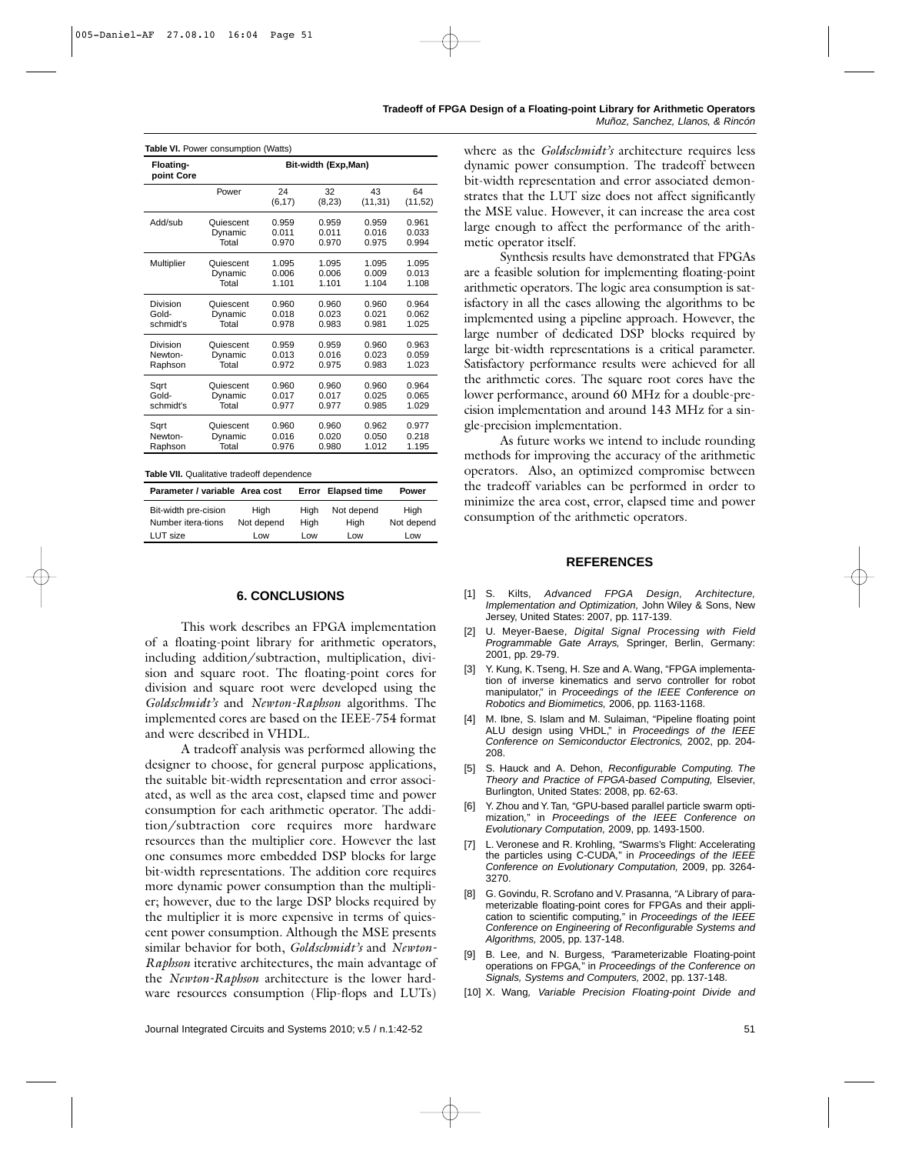| Floating-<br>point Core | Bit-width (Exp, Man) |               |              |                |               |  |  |  |
|-------------------------|----------------------|---------------|--------------|----------------|---------------|--|--|--|
|                         | Power                | 24<br>(6, 17) | 32<br>(8,23) | 43<br>(11, 31) | 64<br>(11,52) |  |  |  |
| Add/sub                 | Quiescent            | 0.959         | 0.959        | 0.959          | 0.961         |  |  |  |
|                         | Dynamic              | 0.011         | 0.011        | 0.016          | 0.033         |  |  |  |
|                         | Total                | 0.970         | 0.970        | 0.975          | 0.994         |  |  |  |
| Multiplier              | Quiescent            | 1.095         | 1.095        | 1.095          | 1.095         |  |  |  |
|                         | Dynamic              | 0.006         | 0.006        | 0.009          | 0.013         |  |  |  |
|                         | Total                | 1.101         | 1.101        | 1.104          | 1.108         |  |  |  |
| Division                | Quiescent            | 0.960         | 0.960        | 0.960          | 0.964         |  |  |  |
| Gold-                   | Dynamic              | 0.018         | 0.023        | 0.021          | 0.062         |  |  |  |
| schmidt's               | Total                | 0.978         | 0.983        | 0.981          | 1.025         |  |  |  |
| Division                | Quiescent            | 0.959         | 0.959        | 0.960          | 0.963         |  |  |  |
| Newton-                 | Dynamic              | 0.013         | 0.016        | 0.023          | 0.059         |  |  |  |
| Raphson                 | Total                | 0.972         | 0.975        | 0.983          | 1.023         |  |  |  |
| Sart                    | Quiescent            | 0.960         | 0.960        | 0.960          | 0.964         |  |  |  |
| Gold-                   | Dynamic              | 0.017         | 0.017        | 0.025          | 0.065         |  |  |  |
| schmidt's               | Total                | 0.977         | 0.977        | 0.985          | 1.029         |  |  |  |
| Sart                    | Quiescent            | 0.960         | 0.960        | 0.962          | 0.977         |  |  |  |
| Newton-                 | Dynamic              | 0.016         | 0.020        | 0.050          | 0.218         |  |  |  |
| Raphson                 | Total                | 0.976         | 0.980        | 1.012          | 1.195         |  |  |  |

**Table VII.** Qualitative tradeoff dependence

| Parameter / variable Area cost |            |      | Error Elapsed time | Power      |
|--------------------------------|------------|------|--------------------|------------|
| Bit-width pre-cision           | High       | Hiah | Not depend         | High       |
| Number itera-tions             | Not depend | Hiah | Hiah               | Not depend |
| LUT size                       | Low        | Low  | l ow               | Low        |

#### **6. CONCLUSIONS**

This work describes an FPGA implementation of a floating-point library for arithmetic operators, including addition/subtraction, multiplication, division and square root. The floating-point cores for division and square root were developed using the *Goldschmidt's* and *Newton-Raphson* algorithms. The implemented cores are based on the IEEE-754 format and were described in VHDL.

A tradeoff analysis was performed allowing the designer to choose, for general purpose applications, the suitable bit-width representation and error associated, as well as the area cost, elapsed time and power consumption for each arithmetic operator. The addition/subtraction core requires more hardware resources than the multiplier core. However the last one consumes more embedded DSP blocks for large bit-width representations. The addition core requires more dynamic power consumption than the multiplier; however, due to the large DSP blocks required by the multiplier it is more expensive in terms of quiescent power consumption. Although the MSE presents similar behavior for both, *Goldschmidt's* and *Newton-Raphson* iterative architectures, the main advantage of the *Newton-Raphson* architecture is the lower hardware resources consumption (Flip-flops and LUTs)

where as the *Goldschmidt's* architecture requires less dynamic power consumption. The tradeoff between bit-width representation and error associated demonstrates that the LUT size does not affect significantly the MSE value. However, it can increase the area cost large enough to affect the performance of the arithmetic operator itself.

Synthesis results have demonstrated that FPGAs are a feasible solution for implementing floating-point arithmetic operators. The logic area consumption is satisfactory in all the cases allowing the algorithms to be implemented using a pipeline approach. However, the large number of dedicated DSP blocks required by large bit-width representations is a critical parameter. Satisfactory performance results were achieved for all the arithmetic cores. The square root cores have the lower performance, around 60 MHz for a double-precision implementation and around 143 MHz for a single-precision implementation.

As future works we intend to include rounding methods for improving the accuracy of the arithmetic operators. Also, an optimized compromise between the tradeoff variables can be performed in order to minimize the area cost, error, elapsed time and power consumption of the arithmetic operators.

#### **REFERENCES**

- [1] S. Kilts, *Advanced FPGA Design, Architecture, Implementation and Optimization,* John Wiley & Sons, New Jersey, United States: 2007, pp. 117-139.
- [2] U. Meyer-Baese, *Digital Signal Processing with Field Programmable Gate Arrays,* Springer, Berlin, Germany: 2001, pp. 29-79.
- [3] Y. Kung, K. Tseng, H. Sze and A. Wang, "FPGA implementation of inverse kinematics and servo controller for robot manipulator," in *Proceedings of the IEEE Conference on Robotics and Biomimetics,* 2006, pp. 1163-1168.
- [4] M. Ibne, S. Islam and M. Sulaiman, "Pipeline floating point ALU design using VHDL," in *Proceedings of the IEEE Conference on Semiconductor Electronics,* 2002, pp. 204- 208.
- [5] S. Hauck and A. Dehon, *Reconfigurable Computing. The Theory and Practice of FPGA-based Computing,* Elsevier, Burlington, United States: 2008, pp. 62-63.
- [6] Y. Zhou and Y. Tan*,* "GPU-based parallel particle swarm optimization*,*" in *Proceedings of the IEEE Conference on Evolutionary Computation,* 2009, pp. 1493-1500.
- [7] L. Veronese and R. Krohling, *"*Swarms's Flight: Accelerating the particles using C-CUDA*,*" in *Proceedings of the IEEE Conference on Evolutionary Computation,* 2009, pp. 3264- 3270.
- [8] G. Govindu, R. Scrofano and V. Prasanna, *"*A Library of parameterizable floating-point cores for FPGAs and their application to scientific computing*,*" in *Proceedings of the IEEE Conference on Engineering of Reconfigurable Systems and Algorithms,* 2005, pp. 137-148.
- [9] B. Lee, and N. Burgess, *"*Parameterizable Floating-point operations on FPGA*,*" in *Proceedings of the Conference on Signals, Systems and Computers,* 2002, pp. 137-148.
- [10] X. Wang*, Variable Precision Floating-point Divide and*